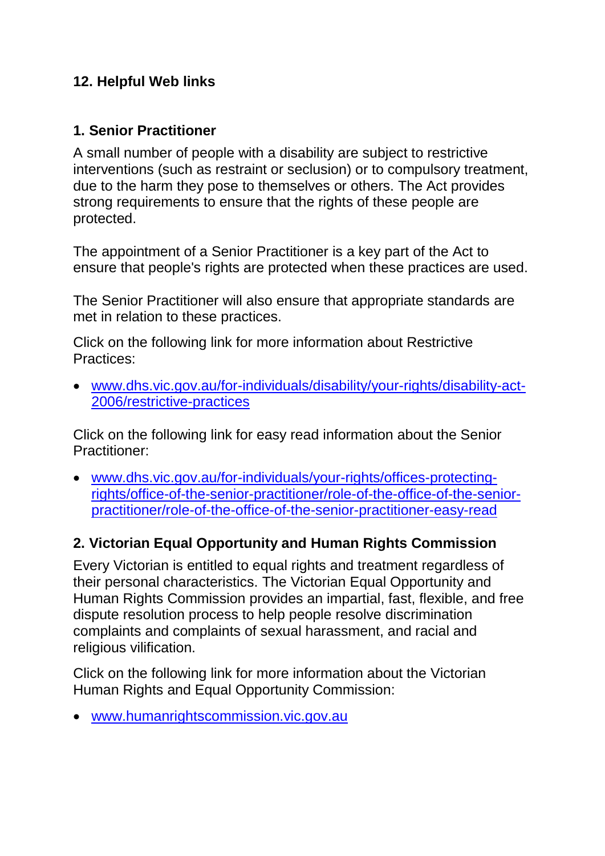## **12. Helpful Web links**

#### **1. Senior Practitioner**

A small number of people with a disability are subject to restrictive interventions (such as restraint or seclusion) or to compulsory treatment, due to the harm they pose to themselves or others. The Act provides strong requirements to ensure that the rights of these people are protected.

The appointment of a Senior Practitioner is a key part of the Act to ensure that people's rights are protected when these practices are used.

The Senior Practitioner will also ensure that appropriate standards are met in relation to these practices.

Click on the following link for more information about Restrictive Practices:

 [www.dhs.vic.gov.au/for-individuals/disability/your-rights/disability-act-](http://www.dhs.vic.gov.au/for-individuals/disability/your-rights/disability-act-2006/restrictive-practices)[2006/restrictive-practices](http://www.dhs.vic.gov.au/for-individuals/disability/your-rights/disability-act-2006/restrictive-practices)

Click on the following link for easy read information about the Senior Practitioner:

 [www.dhs.vic.gov.au/for-individuals/your-rights/offices-protecting](http://www.dhs.vic.gov.au/for-individuals/your-rights/offices-protecting-rights/office-of-the-senior-practitioner/role-of-the-office-of-the-senior-practitioner/role-of-the-office-of-the-senior-practitioner-easy-read)[rights/office-of-the-senior-practitioner/role-of-the-office-of-the-senior](http://www.dhs.vic.gov.au/for-individuals/your-rights/offices-protecting-rights/office-of-the-senior-practitioner/role-of-the-office-of-the-senior-practitioner/role-of-the-office-of-the-senior-practitioner-easy-read)[practitioner/role-of-the-office-of-the-senior-practitioner-easy-read](http://www.dhs.vic.gov.au/for-individuals/your-rights/offices-protecting-rights/office-of-the-senior-practitioner/role-of-the-office-of-the-senior-practitioner/role-of-the-office-of-the-senior-practitioner-easy-read)

## **2. Victorian Equal Opportunity and Human Rights Commission**

Every Victorian is entitled to equal rights and treatment regardless of their personal characteristics. The Victorian Equal Opportunity and Human Rights Commission provides an impartial, fast, flexible, and free dispute resolution process to help people resolve discrimination complaints and complaints of sexual harassment, and racial and religious vilification.

Click on the following link for more information about the Victorian Human Rights and Equal Opportunity Commission:

[www.humanrightscommission.vic.gov.au](http://www.humanrightscommission.vic.gov.au/)